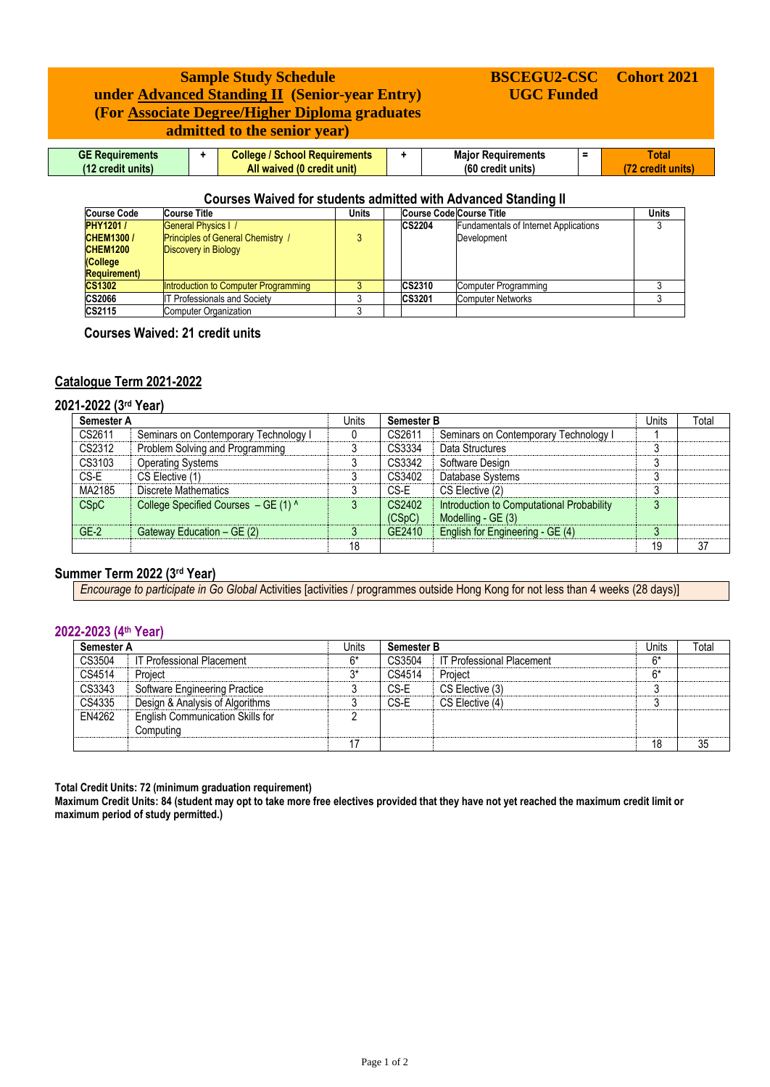# **Sample Study Schedule under Advanced Standing II (Senior-year Entry) (For Associate Degree/Higher Diploma graduates admitted to the senior year)**

#### **GE Requirements (12 credit units) + College / School Requirements All waived (0 credit unit) + Major Requirements (60 credit units) = Total (72 credit units)**

**BSCEGU2-CSC UGC Funded**

**Cohort 2021**

## **Courses Waived for students admitted with Advanced Standing II**

| <b>Course Code</b>   | <b>Course Title</b>                      | <b>Units</b> | Course Code Course Title |                                              | Units |
|----------------------|------------------------------------------|--------------|--------------------------|----------------------------------------------|-------|
| <b>PHY1201/</b>      | <b>General Physics I /</b>               |              | <b>CS2204</b>            | <b>Fundamentals of Internet Applications</b> |       |
| <b>CHEM1300/</b>     | <b>Principles of General Chemistry /</b> |              |                          | Development                                  |       |
| <b>CHEM1200</b>      | Discovery in Biology                     |              |                          |                                              |       |
| (College             |                                          |              |                          |                                              |       |
| <b>Requirement</b> ) |                                          |              |                          |                                              |       |
| <b>CS1302</b>        | Introduction to Computer Programming     |              | <b>CS2310</b>            | Computer Programming                         |       |
| <b>CS2066</b>        | Professionals and Society                |              | <b>CS3201</b>            | <b>Computer Networks</b>                     |       |
| CS2115               | <b>Computer Organization</b>             |              |                          |                                              |       |

 **Courses Waived: 21 credit units**

## **Catalogue Term 2021-2022**

## **2021-2022 (3 rd Year)**

| Semester A |                                       | Units | <b>Semester B</b> |                                                                 | Units   | Total |
|------------|---------------------------------------|-------|-------------------|-----------------------------------------------------------------|---------|-------|
| CS2611     | Seminars on Contemporary Technology I |       | CS2611            | Seminars on Contemporary Technology I                           |         |       |
| CS2312     | Problem Solving and Programming       |       | CS3334            | Data Structures                                                 |         |       |
| CS3103     | <b>Operating Systems</b>              |       | CS3342            | Software Design                                                 |         |       |
| CS-E       | CS Elective (1)                       |       | CS3402            | Database Systems                                                |         |       |
| MA2185     | Discrete Mathematics                  |       | CS-E              | CS Elective (2)                                                 |         |       |
| CSpC       | College Specified Courses - GE (1) ^  |       | CS2402<br>(CSpC)  | Introduction to Computational Probability<br>Modelling - GE (3) | $\circ$ |       |
| $GE-2$     | Gateway Education $-$ GE (2)          |       | GE2410            | English for Engineering - GE (4)                                |         |       |
|            |                                       | 18    |                   |                                                                 | 19      | 37    |

## **Summer Term 2022 (3rd Year)**

*Encourage to participate in Go Global* Activities [activities / programmes outside Hong Kong for not less than 4 weeks (28 days)]

## **2022-2023 (4 th Year)**

| Semester A |                                                      | Units | <b>Semester B</b> |                                  | Units | Total |
|------------|------------------------------------------------------|-------|-------------------|----------------------------------|-------|-------|
| CS3504     | IT Professional Placement                            | 6*    | CS3504            | <b>IT Professional Placement</b> | $6*$  |       |
| CS4514     | Project                                              | つ*    | CS4514            | Project                          | $6*$  |       |
| CS3343     | Software Engineering Practice                        |       | CS-E              | CS Elective (3)                  |       |       |
| CS4335     | Design & Analysis of Algorithms                      |       | CS-E              | CS Elective (4)                  |       |       |
| EN4262     | <b>English Communication Skills for</b><br>Computina |       |                   |                                  |       |       |
|            |                                                      | 17    |                   |                                  | 18    | 35    |

**Total Credit Units: 72 (minimum graduation requirement)**

**Maximum Credit Units: 84 (student may opt to take more free electives provided that they have not yet reached the maximum credit limit or maximum period of study permitted.)**